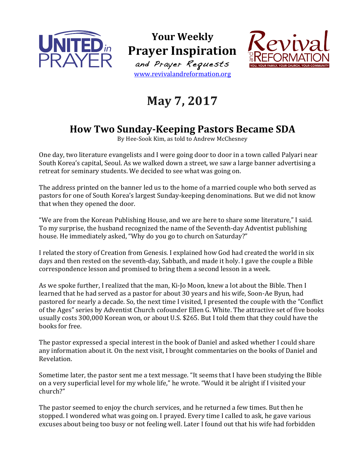

**Your Weekly Prayer Inspiration** and Prayer Requests www.revivalandreformation.org



## **May 7, 2017**

## **How Two Sunday-Keeping Pastors Became SDA**

By Hee-Sook Kim, as told to Andrew McChesney

One day, two literature evangelists and I were going door to door in a town called Palyari near South Korea's capital, Seoul. As we walked down a street, we saw a large banner advertising a retreat for seminary students. We decided to see what was going on.

The address printed on the banner led us to the home of a married couple who both served as pastors for one of South Korea's largest Sunday-keeping denominations. But we did not know that when they opened the door.

"We are from the Korean Publishing House, and we are here to share some literature," I said. To my surprise, the husband recognized the name of the Seventh-day Adventist publishing house. He immediately asked, "Why do you go to church on Saturday?"

I related the story of Creation from Genesis. I explained how God had created the world in six days and then rested on the seventh-day, Sabbath, and made it holy. I gave the couple a Bible correspondence lesson and promised to bring them a second lesson in a week.

As we spoke further, I realized that the man, Ki-Jo Moon, knew a lot about the Bible. Then I learned that he had served as a pastor for about 30 years and his wife, Soon-Ae Byun, had pastored for nearly a decade. So, the next time I visited, I presented the couple with the "Conflict of the Ages" series by Adventist Church cofounder Ellen G. White. The attractive set of five books usually costs 300,000 Korean won, or about U.S. \$265. But I told them that they could have the books for free.

The pastor expressed a special interest in the book of Daniel and asked whether I could share any information about it. On the next visit, I brought commentaries on the books of Daniel and Revelation.

Sometime later, the pastor sent me a text message. "It seems that I have been studying the Bible on a very superficial level for my whole life," he wrote. "Would it be alright if I visited your church?"

The pastor seemed to enjoy the church services, and he returned a few times. But then he stopped. I wondered what was going on. I prayed. Every time I called to ask, he gave various excuses about being too busy or not feeling well. Later I found out that his wife had forbidden